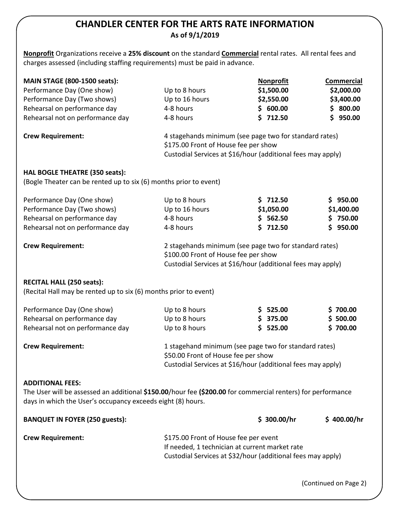# **CHANDLER CENTER FOR THE ARTS RATE INFORMATION As of 9/1/2019**

**Nonprofit** Organizations receive a **25% discount** on the standard **Commercial** rental rates. All rental fees and charges assessed (including staffing requirements) must be paid in advance.

| <b>MAIN STAGE (800-1500 seats):</b>                                                                                                                                                                   |                                                                                                                                                               | <b>Nonprofit</b> | <b>Commercial</b> |
|-------------------------------------------------------------------------------------------------------------------------------------------------------------------------------------------------------|---------------------------------------------------------------------------------------------------------------------------------------------------------------|------------------|-------------------|
| Performance Day (One show)                                                                                                                                                                            | Up to 8 hours                                                                                                                                                 | \$1,500.00       | \$2,000.00        |
| Performance Day (Two shows)                                                                                                                                                                           | Up to 16 hours                                                                                                                                                | \$2,550.00       | \$3,400.00        |
| Rehearsal on performance day                                                                                                                                                                          | 4-8 hours                                                                                                                                                     | \$600.00         | 800.00<br>S.      |
| Rehearsal not on performance day                                                                                                                                                                      | 4-8 hours                                                                                                                                                     | \$712.50         | \$950.00          |
| <b>Crew Requirement:</b>                                                                                                                                                                              | 4 stagehands minimum (see page two for standard rates)<br>\$175.00 Front of House fee per show<br>Custodial Services at \$16/hour (additional fees may apply) |                  |                   |
| HAL BOGLE THEATRE (350 seats):                                                                                                                                                                        |                                                                                                                                                               |                  |                   |
| (Bogle Theater can be rented up to six (6) months prior to event)                                                                                                                                     |                                                                                                                                                               |                  |                   |
| Performance Day (One show)                                                                                                                                                                            | Up to 8 hours                                                                                                                                                 | \$712.50         | \$950.00          |
| Performance Day (Two shows)                                                                                                                                                                           | Up to 16 hours                                                                                                                                                | \$1,050.00       | \$1,400.00        |
| Rehearsal on performance day                                                                                                                                                                          | 4-8 hours                                                                                                                                                     | \$562.50         | \$750.00          |
| Rehearsal not on performance day                                                                                                                                                                      | 4-8 hours                                                                                                                                                     | \$712.50         | \$950.00          |
| <b>Crew Requirement:</b>                                                                                                                                                                              | 2 stagehands minimum (see page two for standard rates)<br>\$100.00 Front of House fee per show<br>Custodial Services at \$16/hour (additional fees may apply) |                  |                   |
| <b>RECITAL HALL (250 seats):</b><br>(Recital Hall may be rented up to six (6) months prior to event)                                                                                                  |                                                                                                                                                               |                  |                   |
| Performance Day (One show)                                                                                                                                                                            | Up to 8 hours                                                                                                                                                 | \$ 525.00        | \$700.00          |
| Rehearsal on performance day                                                                                                                                                                          | Up to 8 hours                                                                                                                                                 | \$375.00         | \$500.00          |
| Rehearsal not on performance day                                                                                                                                                                      | Up to 8 hours                                                                                                                                                 | \$ 525.00        | \$700.00          |
| <b>Crew Requirement:</b>                                                                                                                                                                              | 1 stagehand minimum (see page two for standard rates)<br>\$50.00 Front of House fee per show<br>Custodial Services at \$16/hour (additional fees may apply)   |                  |                   |
| <b>ADDITIONAL FEES:</b><br>The User will be assessed an additional \$150.00/hour fee (\$200.00 for commercial renters) for performance<br>days in which the User's occupancy exceeds eight (8) hours. |                                                                                                                                                               |                  |                   |
| <b>BANQUET IN FOYER (250 guests):</b>                                                                                                                                                                 |                                                                                                                                                               | \$300.00/hr      | \$400.00/hr       |
| <b>Crew Requirement:</b>                                                                                                                                                                              | \$175.00 Front of House fee per event<br>If needed, 1 technician at current market rate<br>Custodial Services at \$32/hour (additional fees may apply)        |                  |                   |

(Continued on Page 2)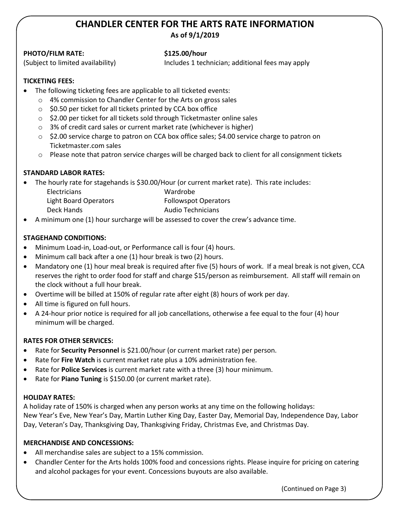# **CHANDLER CENTER FOR THE ARTS RATE INFORMATION As of 9/1/2019**

# **PHOTO/FILM RATE: \$125.00/hour**

(Subject to limited availability) Includes 1 technician; additional fees may apply

# **TICKETING FEES:**

- The following ticketing fees are applicable to all ticketed events:
	- o 4% commission to Chandler Center for the Arts on gross sales
	- $\circ$  \$0.50 per ticket for all tickets printed by CCA box office
	- o \$2.00 per ticket for all tickets sold through Ticketmaster online sales
	- o 3% of credit card sales or current market rate (whichever is higher)
	- o \$2.00 service charge to patron on CCA box office sales; \$4.00 service charge to patron on Ticketmaster.com sales
	- $\circ$  Please note that patron service charges will be charged back to client for all consignment tickets

# **STANDARD LABOR RATES:**

The hourly rate for stagehands is \$30.00/Hour (or current market rate). This rate includes:

| <b>Electricians</b>   | Wardrobe                    |
|-----------------------|-----------------------------|
| Light Board Operators | <b>Followspot Operators</b> |
| Deck Hands            | <b>Audio Technicians</b>    |

A minimum one (1) hour surcharge will be assessed to cover the crew's advance time.

# **STAGEHAND CONDITIONS:**

- Minimum Load-in, Load-out, or Performance call is four (4) hours.
- Minimum call back after a one (1) hour break is two (2) hours.
- Mandatory one (1) hour meal break is required after five (5) hours of work. If a meal break is not given, CCA reserves the right to order food for staff and charge \$15/person as reimbursement. All staff will remain on the clock without a full hour break.
- Overtime will be billed at 150% of regular rate after eight (8) hours of work per day.
- All time is figured on full hours.
- A 24-hour prior notice is required for all job cancellations, otherwise a fee equal to the four (4) hour minimum will be charged.

# **RATES FOR OTHER SERVICES:**

- Rate for **Security Personnel** is \$21.00/hour (or current market rate) per person.
- Rate for **Fire Watch** is current market rate plus a 10% administration fee.
- Rate for **Police Services** is current market rate with a three (3) hour minimum.
- Rate for **Piano Tuning** is \$150.00 (or current market rate).

### **HOLIDAY RATES:**

A holiday rate of 150% is charged when any person works at any time on the following holidays: New Year's Eve, New Year's Day, Martin Luther King Day, Easter Day, Memorial Day, Independence Day, Labor Day, Veteran's Day, Thanksgiving Day, Thanksgiving Friday, Christmas Eve, and Christmas Day.

### **MERCHANDISE AND CONCESSIONS:**

- All merchandise sales are subject to a 15% commission.
- Chandler Center for the Arts holds 100% food and concessions rights. Please inquire for pricing on catering and alcohol packages for your event. Concessions buyouts are also available.

(Continued on Page 3)